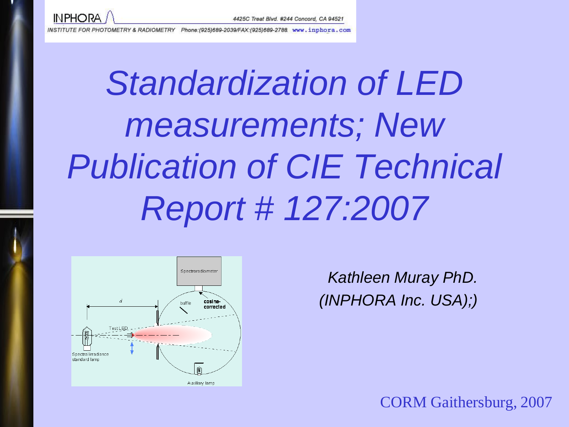

Phone: (925)689-2039/FAX: (925)689-2788 www.inphora.com INSTITUTE FOR PHOTOMETRY & RADIOMETRY

# *Standardization of LED measurements; New Publication of CIE Technical Report # 127:2007*



*Kathleen Muray PhD. (INPHORA Inc. USA);)*

CORM Gaithersburg, 2007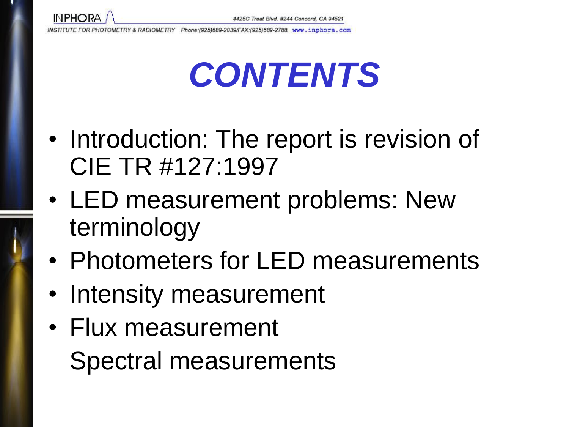

## *CONTENTS*

- Introduction: The report is revision of CIE TR #127:1997
- LED measurement problems: New terminology
- Photometers for LED measurements
- Intensity measurement
- Flux measurement Spectral measurements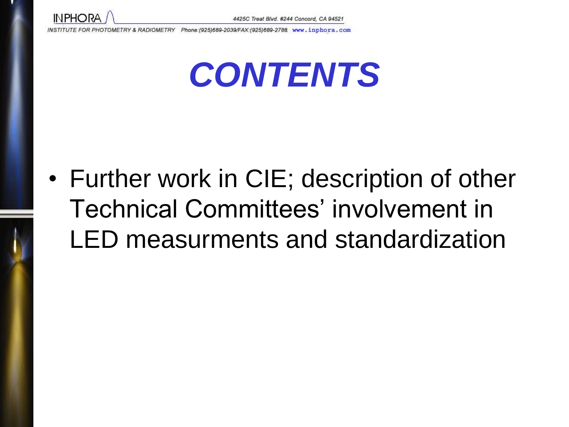



• Further work in CIE; description of other Technical Committees' involvement in LED measurments and standardization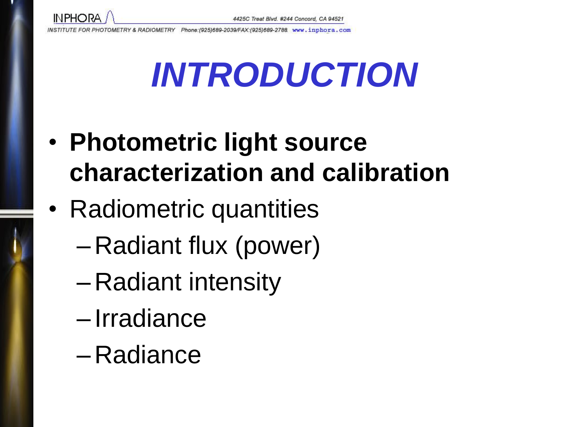**INPHORA** 

# *INTRODUCTION*

- **Photometric light source characterization and calibration**
- Radiometric quantities
	- Radiant flux (power)
	- Radiant intensity
	- Irradiance
	- Radiance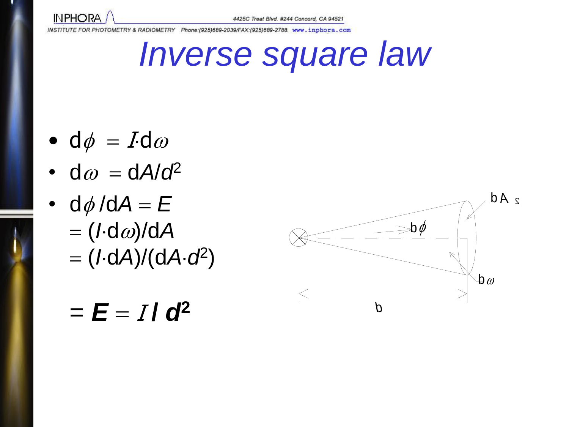

*Inverse square law*

- d $\phi = I d\omega$
- $d\omega = dA/d^2$
- $d\phi/dA = E$  $=$   $(I \cdot d\omega)/dA$ (*I*d*A*)/(d*Ad* 2 )

#### $\Rightarrow$ b $\phi$ *P d*  $\mathbf{b}\,\omega$

d *A* <sup>2</sup>

#### $=$   $E = I/d^2$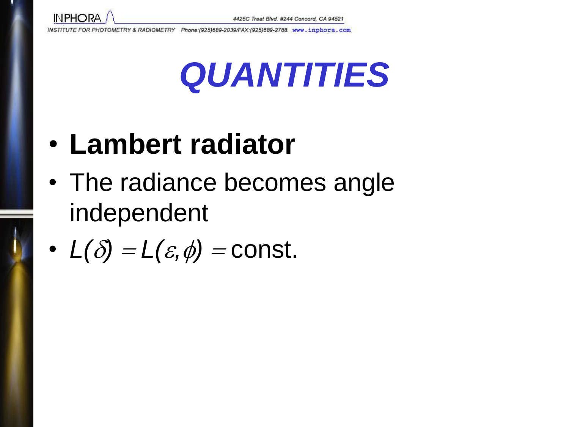

## *QUANTITIES*

#### • **Lambert radiator**

• The radiance becomes angle independent

• 
$$
L(\delta) = L(\varepsilon, \phi) = \text{const.}
$$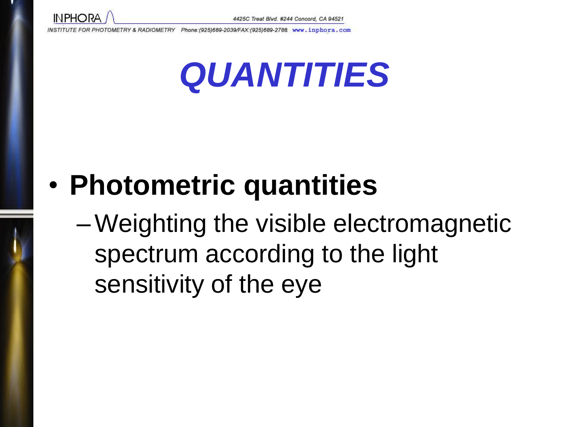



#### • **Photometric quantities**

–Weighting the visible electromagnetic spectrum according to the light sensitivity of the eye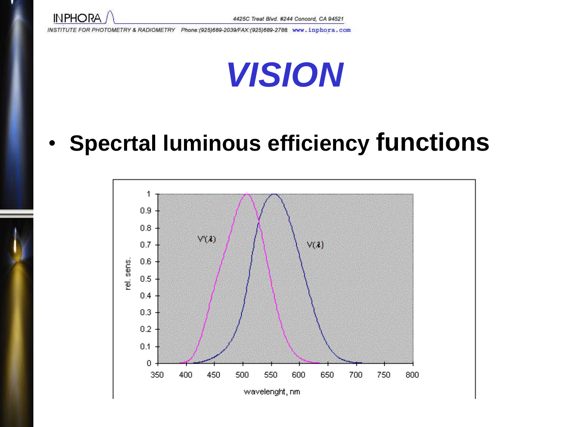



#### • **Specrtal luminous efficiency functions**

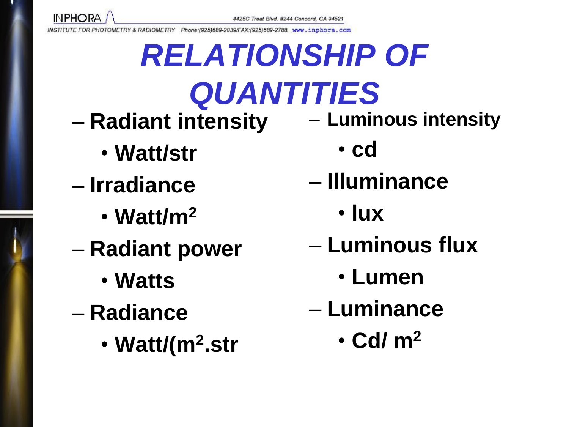

# *RELATIONSHIP OF QUANTITIES*

- **Radiant intensity** 
	- **Watt/str**
- **Irradiance**
	- **Watt/m<sup>2</sup>**
- **Radiant power**
	- **Watts**
- **Radiance**
	- **Watt/(m<sup>2</sup> .str**
- **Luminous intensity**
	- **cd**
- **Illuminance**
	- **lux**
- **Luminous flux**
	- **Lumen**
- **Luminance**
	- **Cd/ m<sup>2</sup>**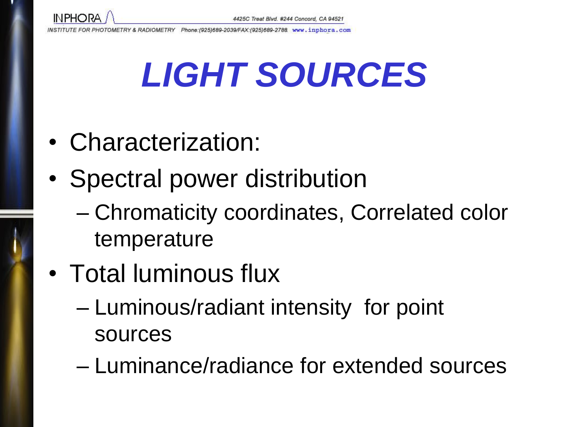# *LIGHT SOURCES*

- Characterization:
- Spectral power distribution
	- Chromaticity coordinates, Correlated color temperature
- Total luminous flux
	- Luminous/radiant intensity for point sources
	- Luminance/radiance for extended sources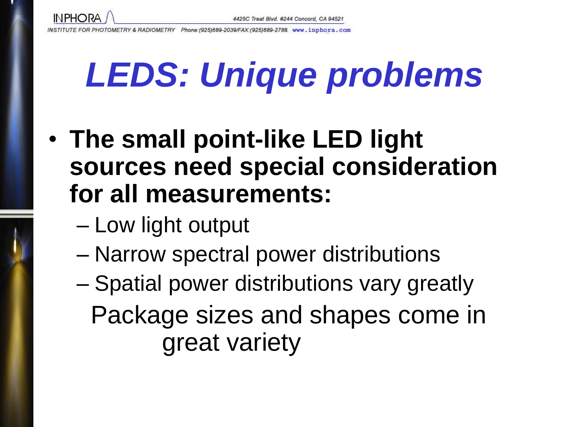

# *LEDS: Unique problems*

- **The small point-like LED light sources need special consideration for all measurements:**
	- Low light output
	- Narrow spectral power distributions
	- Spatial power distributions vary greatly Package sizes and shapes come in great variety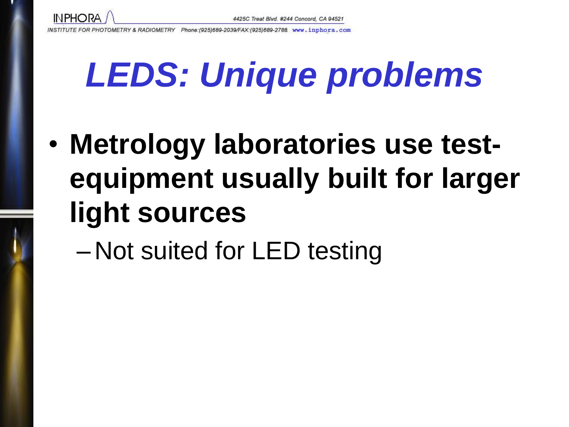

# *LEDS: Unique problems*

- **Metrology laboratories use testequipment usually built for larger light sources**
	- Not suited for LED testing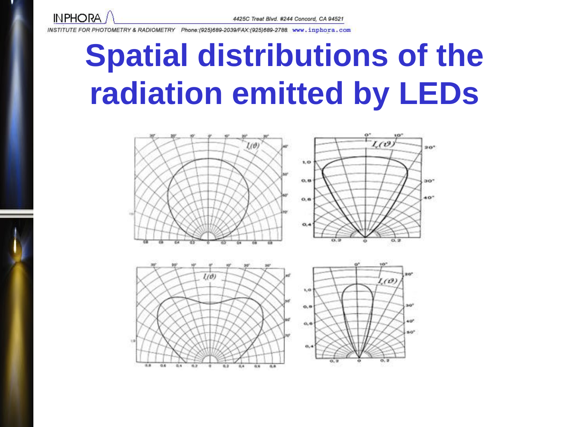**INPHORA** 

INSTITUTE FOR PHOTOMETRY & RADIOMETRY Phone:(925)689-2039/FAX:(925)689-2788. www.inphora.com

## **Spatial distributions of the radiation emitted by LEDs**

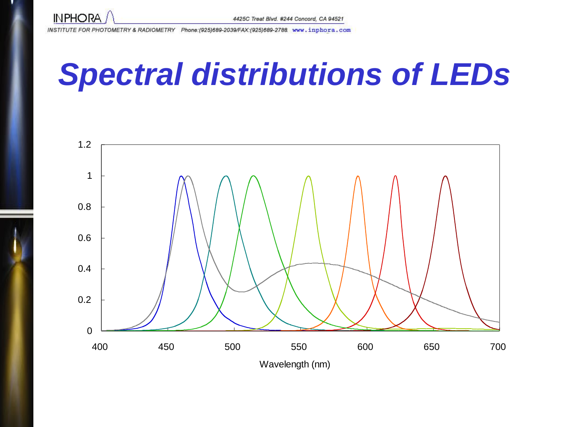

#### *Spectral distributions of LEDs*

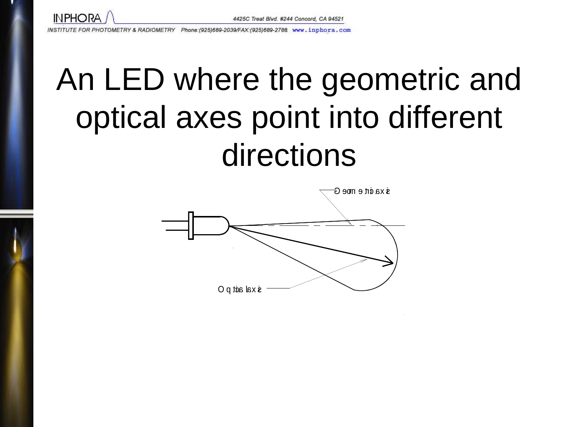

## An LED where the geometric and optical axes point into different directions

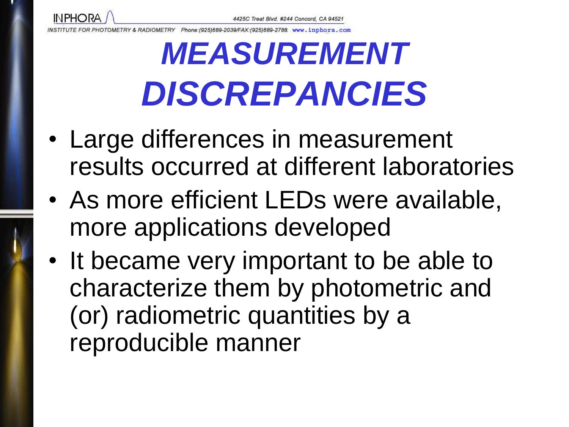Phone: (925)689-2039/FAX: (925)689-2788 www.inphora.com *IF FOR PHOTOMETRY & RADIOMETRY* 

**INPHORA** 

## *MEASUREMENT DISCREPANCIES*

- Large differences in measurement results occurred at different laboratories
- As more efficient LEDs were available, more applications developed
- It became very important to be able to characterize them by photometric and (or) radiometric quantities by a reproducible manner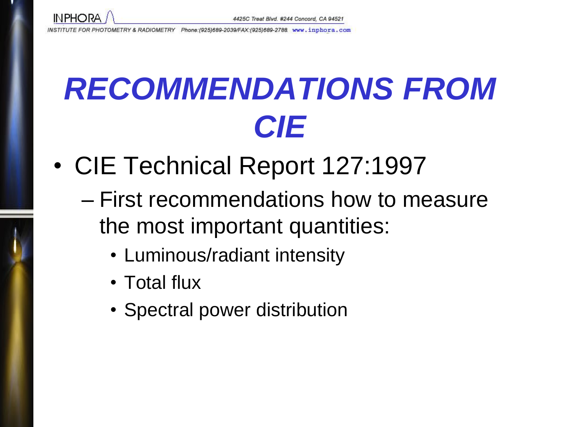

## *RECOMMENDATIONS FROM CIE*

- CIE Technical Report 127:1997
	- First recommendations how to measure the most important quantities:
		- Luminous/radiant intensity
		- Total flux
		- Spectral power distribution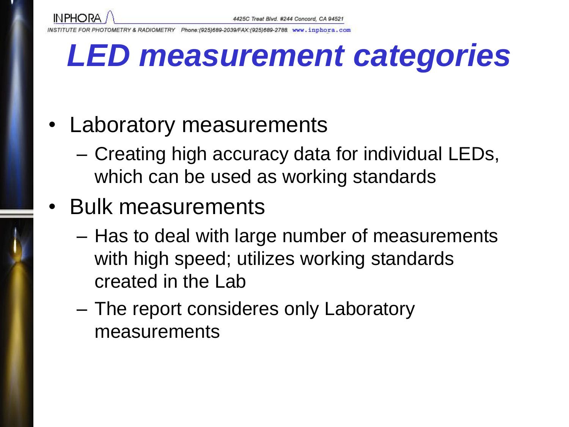

Phone:(925)689-2039/FAX:(925)689-2788 www.inphora.com *TE FOR PHOTOMETRY & RADIOMETRY* 

#### *LED measurement categories*

- Laboratory measurements
	- Creating high accuracy data for individual LEDs, which can be used as working standards
- Bulk measurements
	- Has to deal with large number of measurements with high speed; utilizes working standards created in the Lab
	- The report consideres only Laboratory measurements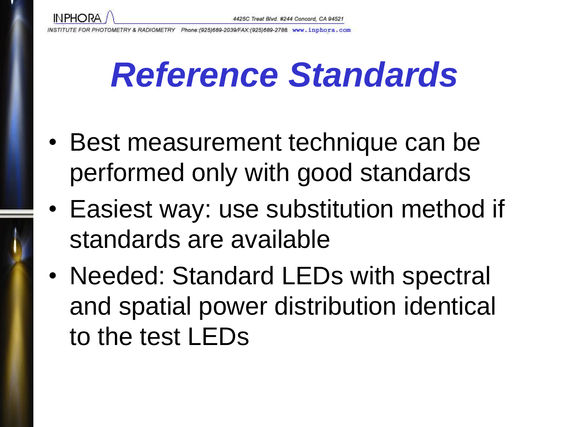**INPHORA** 

## *Reference Standards*

- Best measurement technique can be performed only with good standards
- Easiest way: use substitution method if standards are available
- Needed: Standard LEDs with spectral and spatial power distribution identical to the test LEDs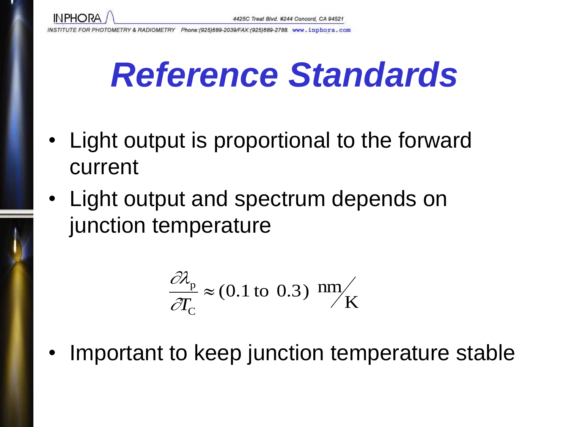

## *Reference Standards*

- Light output is proportional to the forward current
- Light output and spectrum depends on junction temperature

$$
\frac{\partial \lambda_{\rm p}}{\partial T_{\rm c}} \approx (0.1 \text{ to } 0.3) \text{ nm/s}
$$

Important to keep junction temperature stable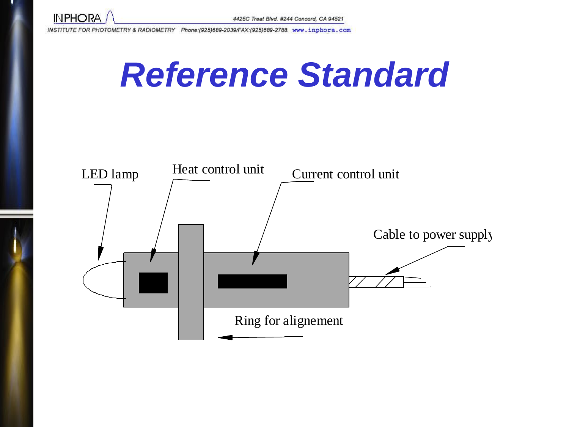

## *Reference Standard*

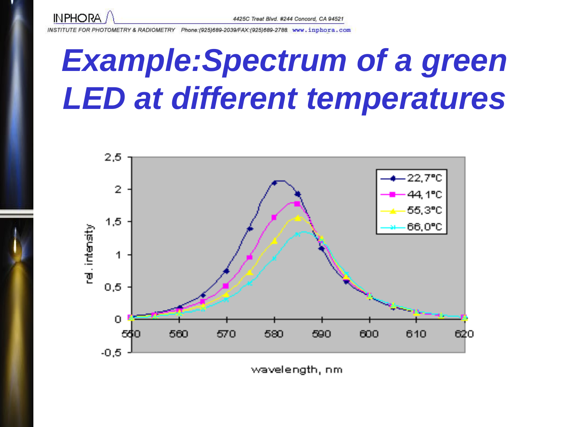

#### *Example:Spectrum of a green LED at different temperatures*



wavelength, nm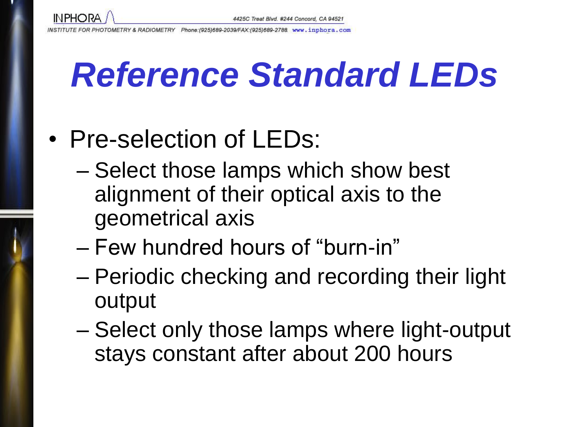

## *Reference Standard LEDs*

#### • Pre-selection of LEDs:

- Select those lamps which show best alignment of their optical axis to the geometrical axis
- Few hundred hours of "burn-in"
- Periodic checking and recording their light output
- Select only those lamps where light-output stays constant after about 200 hours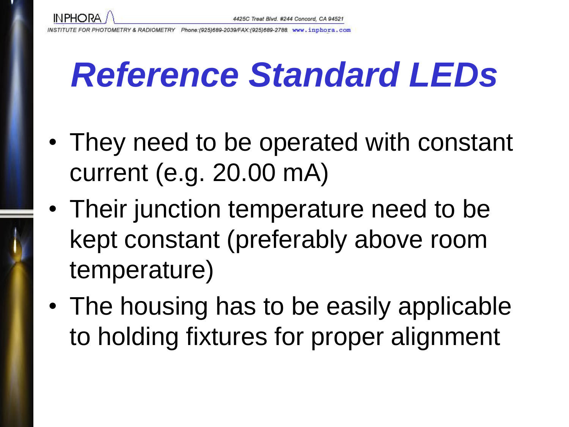

## *Reference Standard LEDs*

- They need to be operated with constant current (e.g. 20.00 mA)
- Their junction temperature need to be kept constant (preferably above room temperature)
- The housing has to be easily applicable to holding fixtures for proper alignment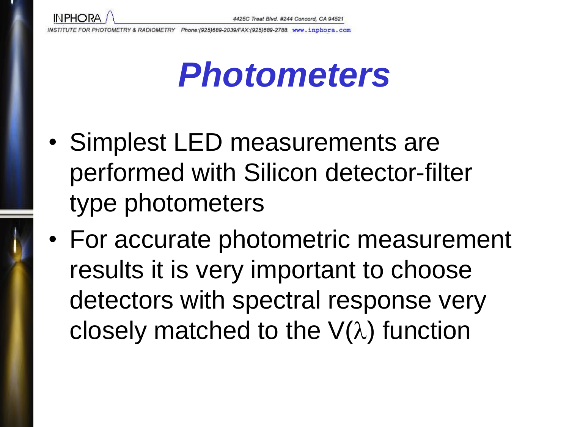

- Simplest LED measurements are performed with Silicon detector-filter type photometers
- For accurate photometric measurement results it is very important to choose detectors with spectral response very closely matched to the  $V(\lambda)$  function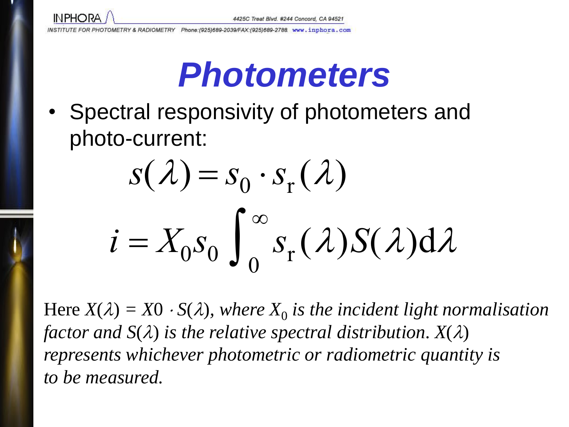

٠

INSTITUTE FOR PHOTOMETRY & RADIOMETRY Phone:(925)689-2039/FAX:(925)689-2788. www.inphora.com

#### *Photometers*

• Spectral responsivity of photometers and photo-current:

$$
s(\lambda) = s_0 \cdot s_r(\lambda)
$$
  

$$
i = X_0 s_0 \int_0^\infty s_r(\lambda) S(\lambda) d\lambda
$$

Here  $X(\lambda) = X0 \cdot S(\lambda)$ , where  $X_0$  is the incident light normalisation *factor* and  $S(\lambda)$  *is the relative spectral distribution.*  $X(\lambda)$ *represents whichever photometric or radiometric quantity is to be measured.*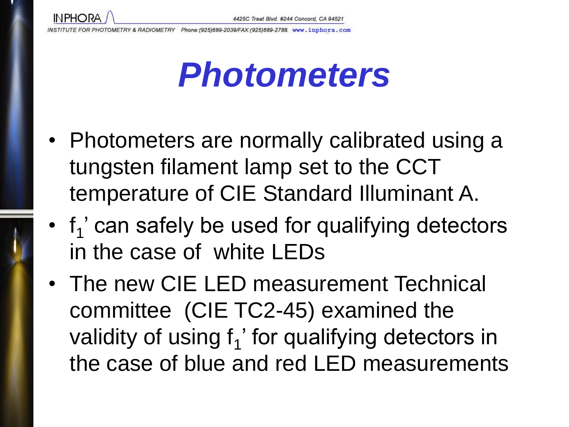- Photometers are normally calibrated using a tungsten filament lamp set to the CCT temperature of CIE Standard Illuminant A.
- $\cdot$   $f_1$ ' can safely be used for qualifying detectors in the case of white LEDs
- The new CIE LED measurement Technical committee (CIE TC2-45) examined the validity of using  $f_1$ ' for qualifying detectors in the case of blue and red LED measurements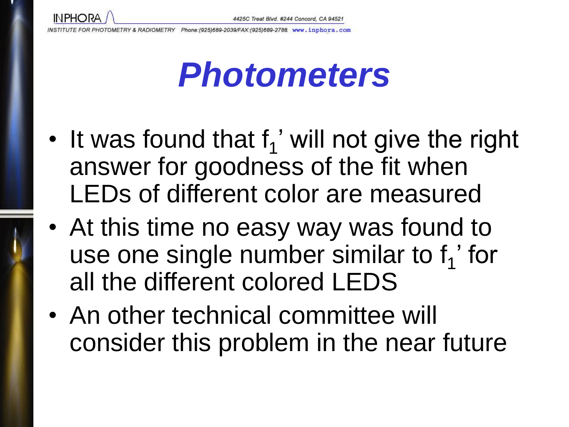**INPHORA** 

**E FOR PHOTOMETRY & RADIOMETRY** Phone: (925)689-2039/FAX: (925)689-2788 www.inphora.com

- It was found that  $f_1'$  will not give the right answer for goodness of the fit when LEDs of different color are measured
- At this time no easy way was found to use one single number similar to  $f_1'$  for all the different colored LEDS
- An other technical committee will consider this problem in the near future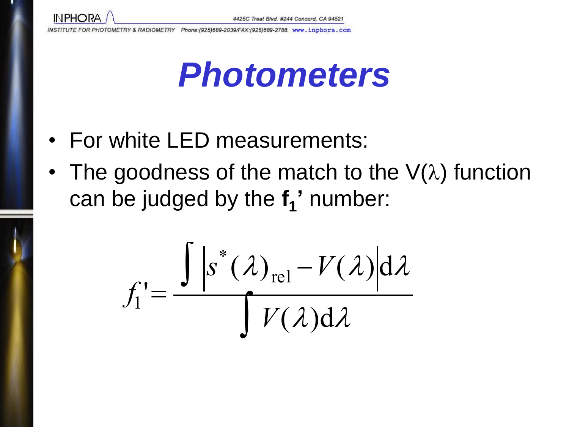

- For white LED measurements:
- The goodness of the match to the  $V(\lambda)$  function can be judged by the **f<sup>1</sup> '** number:

$$
f_1' = \frac{\int |s^*(\lambda)_{\text{rel}} - V(\lambda)| d\lambda}{\int V(\lambda) d\lambda}
$$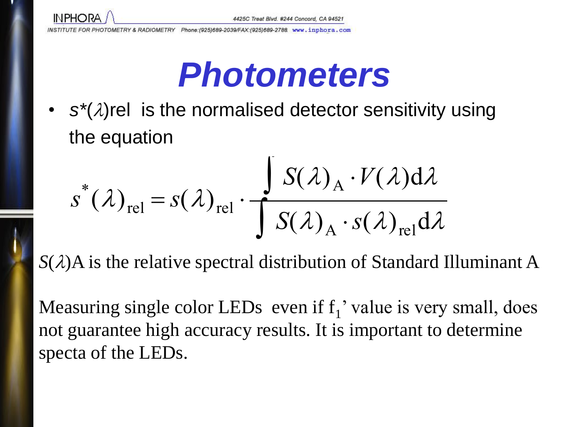

#### *Photometers*

•  $s^*(\lambda)$ rel is the normalised detector sensitivity using the equation

$$
s^{*}(\lambda)_{rel} = s(\lambda)_{rel} \cdot \frac{\int S(\lambda)_{A} \cdot V(\lambda) d\lambda}{\int S(\lambda)_{A} \cdot s(\lambda)_{rel} d\lambda}
$$

 $S(\lambda)A$  is the relative spectral distribution of Standard Illuminant A

Measuring single color LEDs even if  $f_1'$  value is very small, does not guarantee high accuracy results. It is important to determine specta of the LEDs.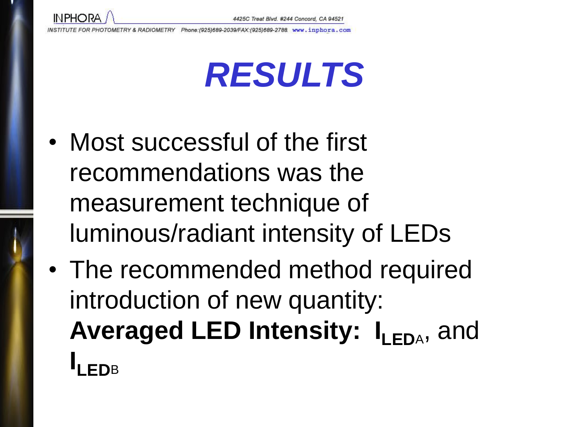**INPHORA** 

## *RESULTS*

- Most successful of the first recommendations was the measurement technique of luminous/radiant intensity of LEDs
- The recommended method required introduction of new quantity: Averaged LED Intensity: I<sub>LEDA</sub>, and **ILEDB**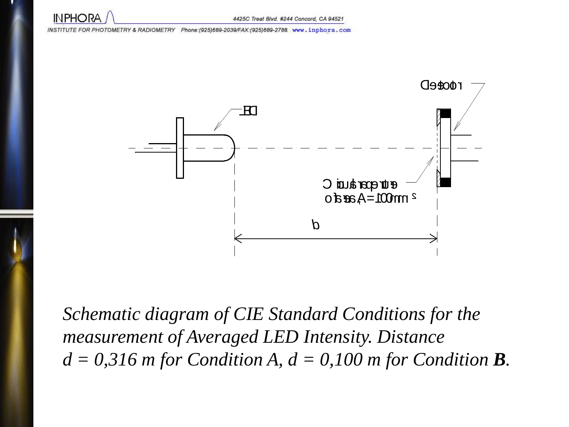**INPHORA** 



*Schematic diagram of CIE Standard Conditions for the measurement of Averaged LED Intensity. Distance*   $d = 0,316$  *m* for Condition A,  $d = 0,100$  *m* for Condition **B**.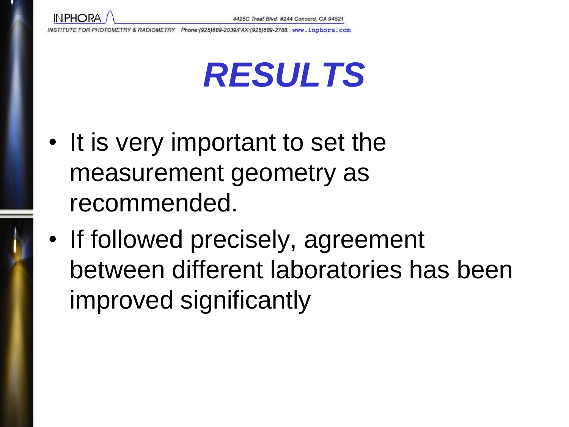

## *RESULTS*

- It is very important to set the measurement geometry as recommended.
- If followed precisely, agreement between different laboratories has been improved significantly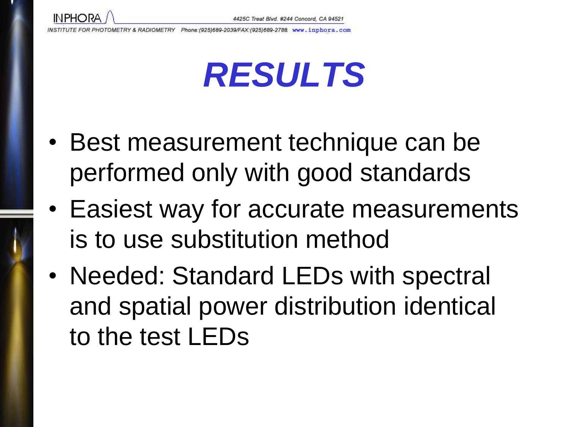**INPHORA** 

## *RESULTS*

- Best measurement technique can be performed only with good standards
- Easiest way for accurate measurements is to use substitution method
- Needed: Standard LEDs with spectral and spatial power distribution identical to the test LEDs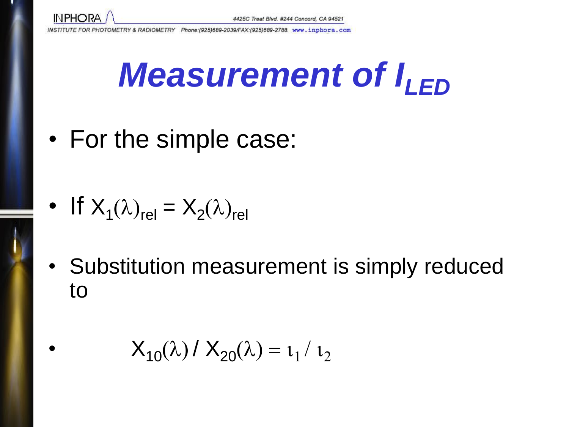

# *Measurement of I<sub>LED</sub>*

• For the simple case:

• If 
$$
X_1(\lambda)_{rel} = X_2(\lambda)_{rel}
$$

• Substitution measurement is simply reduced to

• 
$$
X_{10}(\lambda) / X_{20}(\lambda) = \iota_1 / \iota_2
$$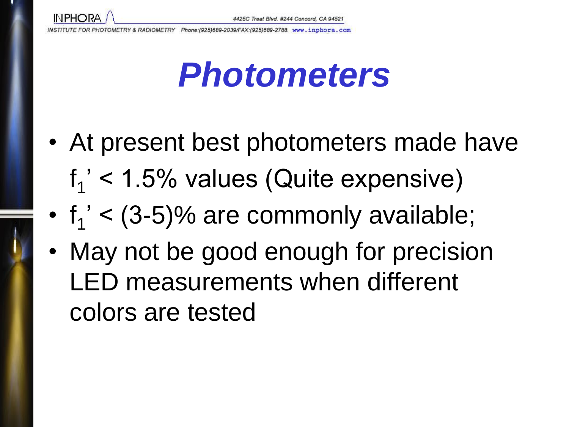

- At present best photometers made have  $f_1'$  < 1.5% values (Quite expensive)
- $f_1' < (3-5)\%$  are commonly available;
- May not be good enough for precision LED measurements when different colors are tested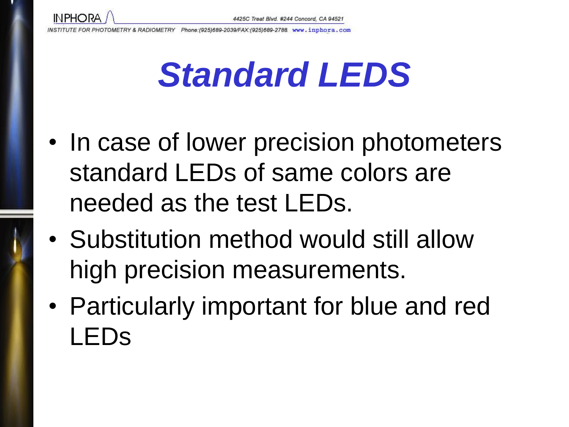

### *Standard LEDS*

- In case of lower precision photometers standard LEDs of same colors are needed as the test LEDs.
- Substitution method would still allow high precision measurements.
- Particularly important for blue and red LEDs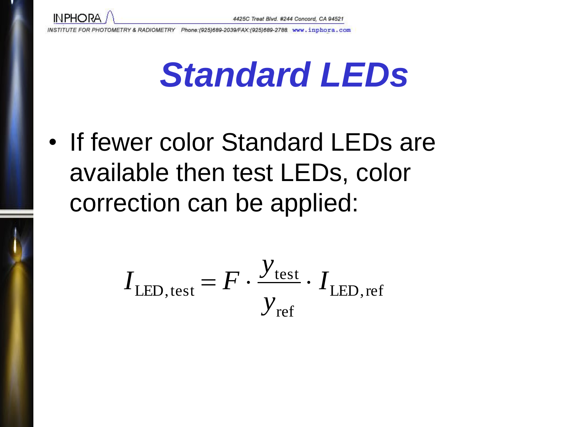

п.

INSTITUTE FOR PHOTOMETRY & RADIOMETRY Phone:(925)689-2039/FAX:(925)689-2788 www.inphora.com



• If fewer color Standard LEDs are available then test LEDs, color correction can be applied:

$$
I_{\text{LED, test}} = F \cdot \frac{y_{\text{test}}}{y_{\text{ref}}} \cdot I_{\text{LED, ref}}
$$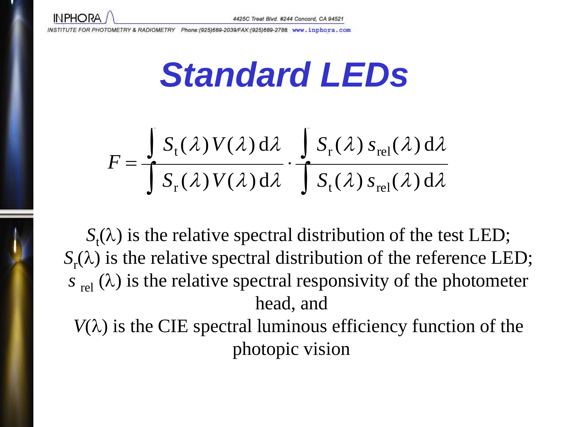

i a

INSTITUTE FOR PHOTOMETRY & RADIOMETRY Phone: (925)689-2039/FAX: (925)689-2788 www.inphora.com

*Standard LEDs*

$$
F = \frac{\int S_t(\lambda) V(\lambda) d\lambda}{\int S_r(\lambda) V(\lambda) d\lambda} \cdot \frac{\int S_r(\lambda) S_{rel}(\lambda) d\lambda}{\int S_t(\lambda) S_{rel}(\lambda) d\lambda}
$$

 $S_t(\lambda)$  is the relative spectral distribution of the test LED;  $S_r(\lambda)$  is the relative spectral distribution of the reference LED;  $s_{rel}(\lambda)$  is the relative spectral responsivity of the photometer head, and

 $V(\lambda)$  is the CIE spectral luminous efficiency function of the photopic vision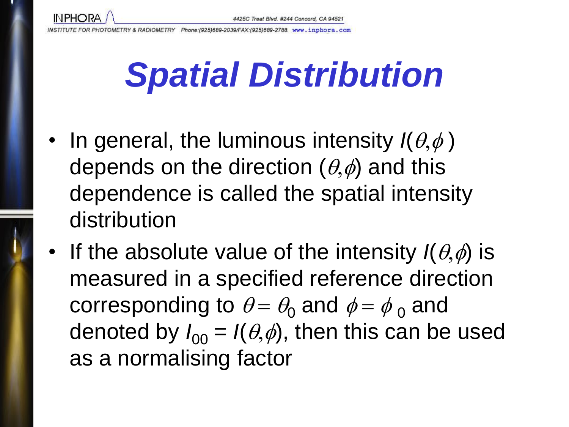Phone: (925)689-2039/FAX: (925)689-2788 www.inphora.com E FOR PHOTOMETRY & RADIOMETRY

**INPHORA** 

## *Spatial Distribution*

- In general, the luminous intensity  $I(\theta, \phi)$ depends on the direction  $(\theta,\phi)$  and this dependence is called the spatial intensity distribution
- If the absolute value of the intensity  $I(\theta,\phi)$  is measured in a specified reference direction corresponding to  $\theta = \theta_0$  and  $\phi = \phi_0$  and denoted by  $I_{00} = I(\theta,\phi)$ , then this can be used as a normalising factor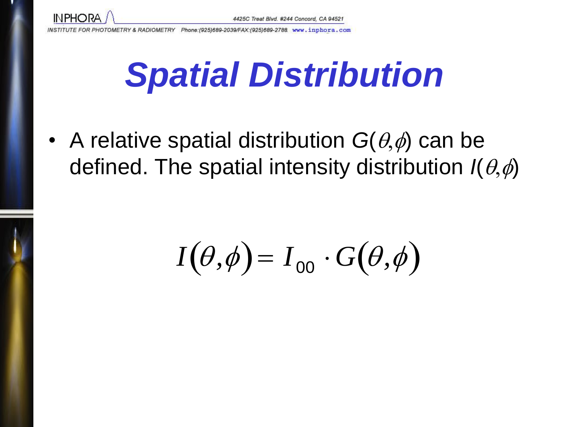

## *Spatial Distribution*

• A relative spatial distribution  $G(\theta,\phi)$  can be defined. The spatial intensity distribution  $I(\theta,\phi)$ 

$$
I(\theta,\phi)=I_{00}\cdot G(\theta,\phi)
$$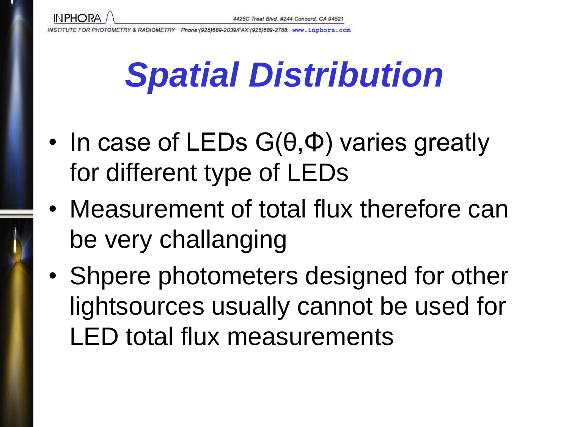

## *Spatial Distribution*

- In case of LEDs G( $\theta$ , $\Phi$ ) varies greatly for different type of LEDs
- Measurement of total flux therefore can be very challanging
- Shpere photometers designed for other lightsources usually cannot be used for LED total flux measurements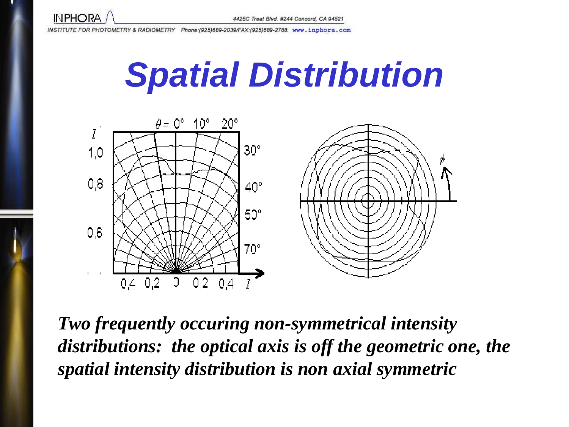

### *Spatial Distribution*



*Two frequently occuring non-symmetrical intensity distributions: the optical axis is off the geometric one, the spatial intensity distribution is non axial symmetric*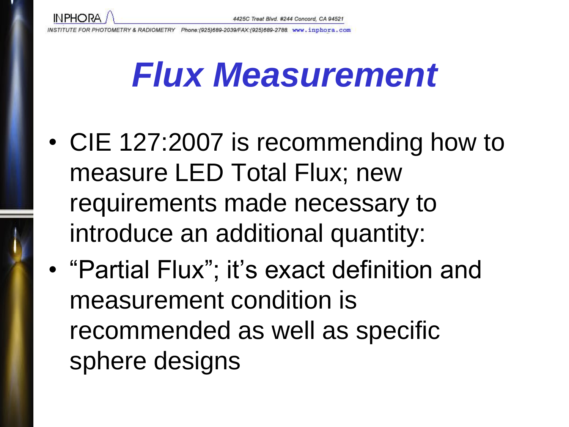

#### *Flux Measurement*

- CIE 127:2007 is recommending how to measure LED Total Flux; new requirements made necessary to introduce an additional quantity:
- "Partial Flux"; it's exact definition and measurement condition is recommended as well as specific sphere designs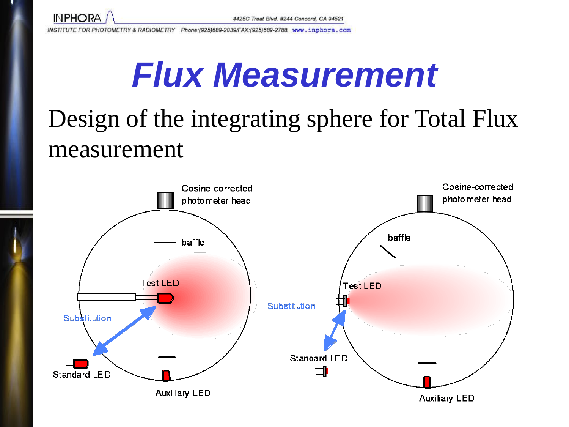

### *Flux Measurement*

#### Design of the integrating sphere for Total Flux measurement

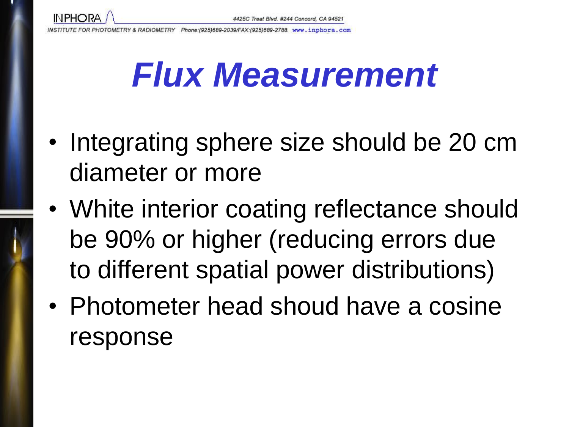### *Flux Measurement*

- Integrating sphere size should be 20 cm diameter or more
- White interior coating reflectance should be 90% or higher (reducing errors due to different spatial power distributions)
- Photometer head shoud have a cosine response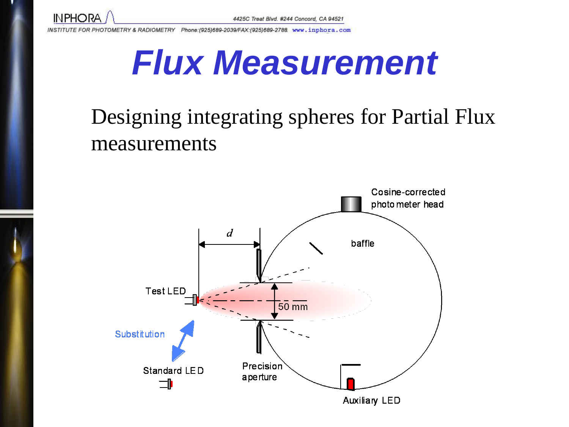

#### *Flux Measurement*

#### Designing integrating spheres for Partial Flux measurements

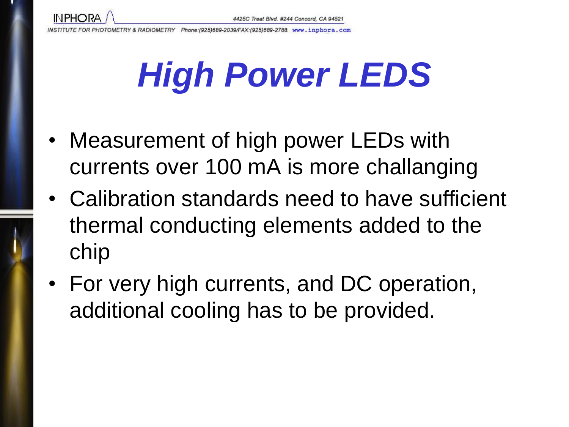**INPHORA** 

# *High Power LEDS*

- Measurement of high power LEDs with currents over 100 mA is more challanging
- Calibration standards need to have sufficient thermal conducting elements added to the chip
- For very high currents, and DC operation, additional cooling has to be provided.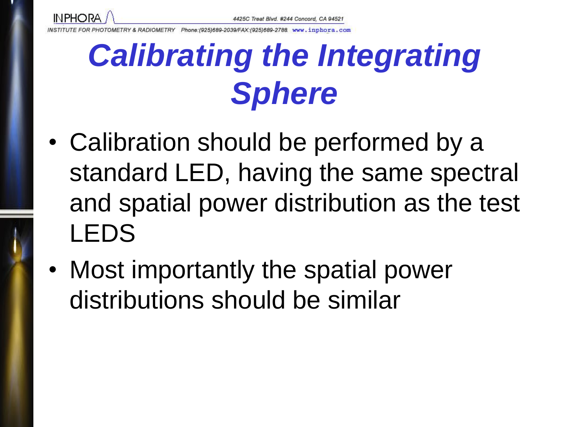

### *Calibrating the Integrating Sphere*

- Calibration should be performed by a standard LED, having the same spectral and spatial power distribution as the test LEDS
- Most importantly the spatial power distributions should be similar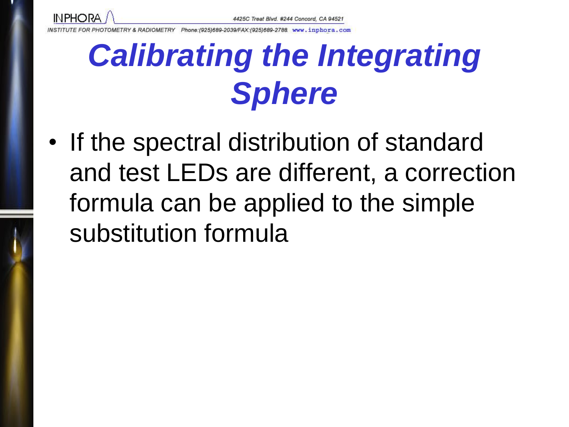

### *Calibrating the Integrating Sphere*

• If the spectral distribution of standard and test LEDs are different, a correction formula can be applied to the simple substitution formula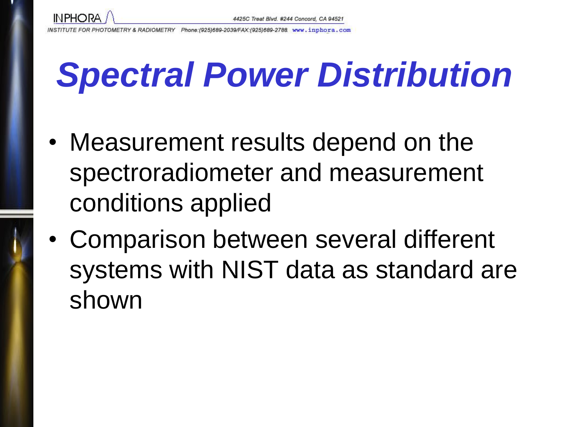## *Spectral Power Distribution*

- Measurement results depend on the spectroradiometer and measurement conditions applied
- Comparison between several different systems with NIST data as standard are shown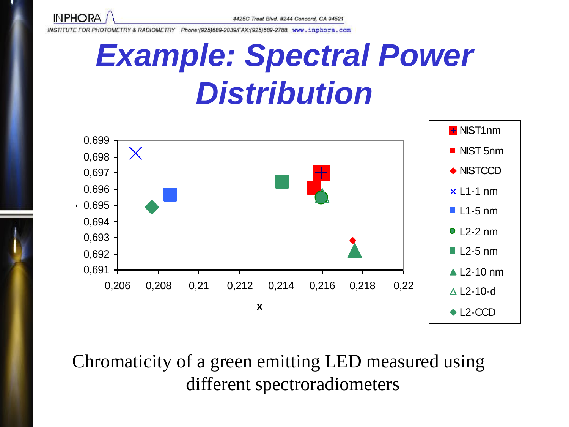

#### *Example: Spectral Power*  **Distribution**



Chromaticity of a green emitting LED measured using different spectroradiometers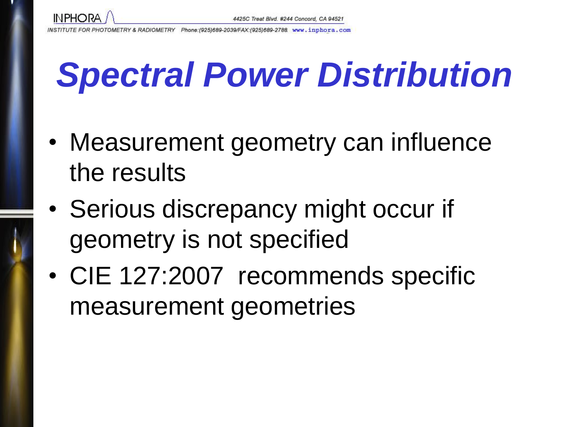

## *Spectral Power Distribution*

- Measurement geometry can influence the results
- Serious discrepancy might occur if geometry is not specified
- CIE 127:2007 recommends specific measurement geometries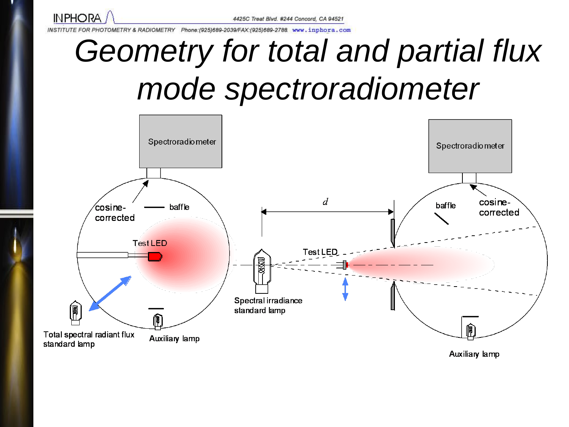

## *Geometry for total and partial flux mode spectroradiometer*



Auxiliary lamp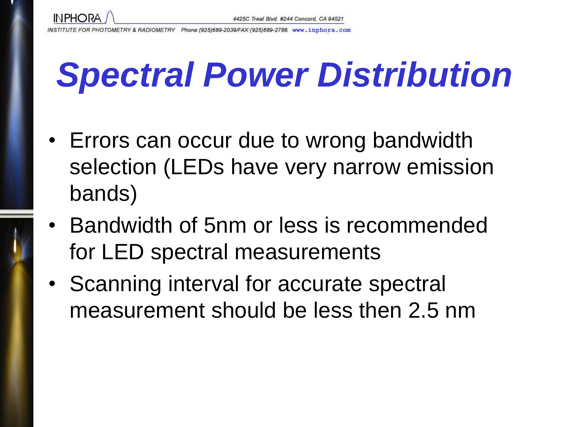

## *Spectral Power Distribution*

- Errors can occur due to wrong bandwidth selection (LEDs have very narrow emission bands)
- Bandwidth of 5nm or less is recommended for LED spectral measurements
- Scanning interval for accurate spectral measurement should be less then 2.5 nm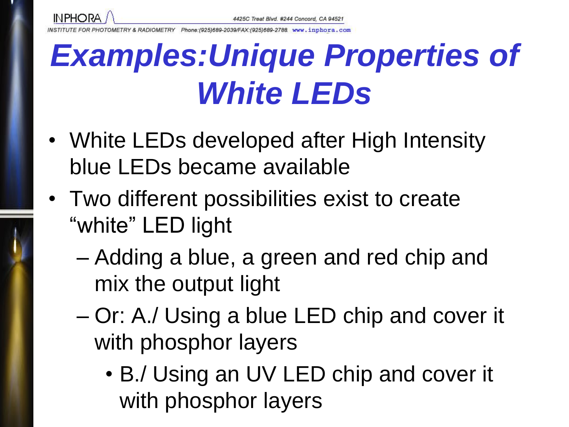Phone: (925)689-2039/FAX: (925)689-2788 www.inphora.com

**INPHORA** 

#### *Examples:Unique Properties of White LEDs*

- White LEDs developed after High Intensity blue LEDs became available
- Two different possibilities exist to create "white" LED light
	- Adding a blue, a green and red chip and mix the output light
	- Or: A./ Using a blue LED chip and cover it with phosphor layers
		- B./ Using an UV LED chip and cover it with phosphor layers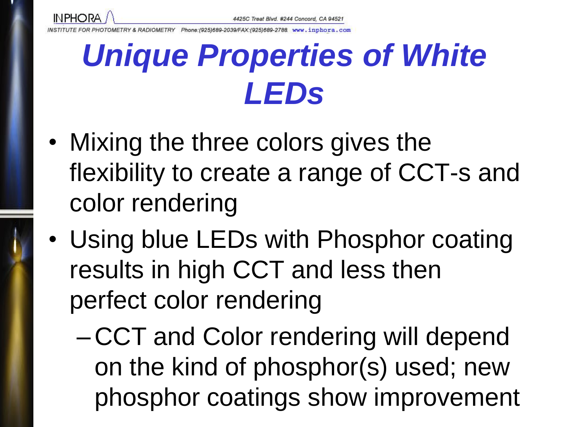

(925)689-2039/FAX: (925)689-2788 www.inphora.com

**INPHORA** 

#### *Unique Properties of White LEDs*

- Mixing the three colors gives the flexibility to create a range of CCT-s and color rendering
- Using blue LEDs with Phosphor coating results in high CCT and less then perfect color rendering
	- CCT and Color rendering will depend on the kind of phosphor(s) used; new phosphor coatings show improvement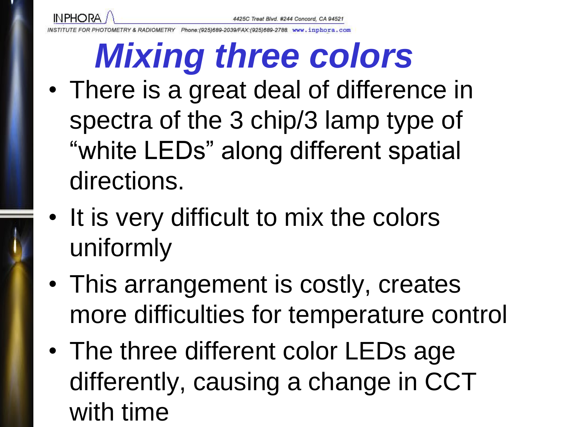Phone: (925)689-2039/FAX: (925)689-2788 www.inphora.com

**INPHORA** 

## *Mixing three colors*

- There is a great deal of difference in spectra of the 3 chip/3 lamp type of "white LEDs" along different spatial directions.
- It is very difficult to mix the colors uniformly
- This arrangement is costly, creates more difficulties for temperature control
- The three different color LEDs age differently, causing a change in CCT with time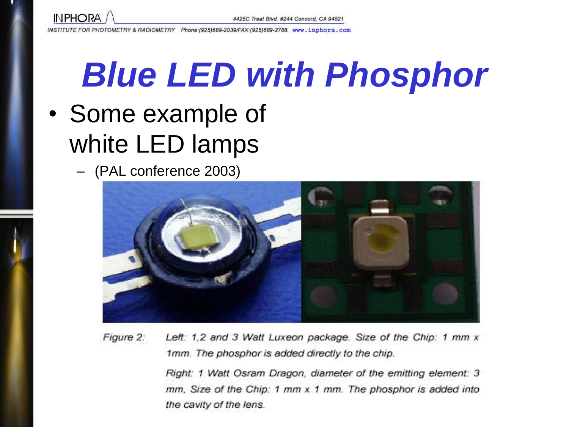![](_page_58_Picture_0.jpeg)

# *Blue LED with Phosphor*

- Some example of white LED lamps
	- (PAL conference 2003)

![](_page_58_Picture_6.jpeg)

Figure 2: Left: 1,2 and 3 Watt Luxeon package. Size of the Chip: 1 mm x 1mm. The phosphor is added directly to the chip.

> Right: 1 Watt Osram Dragon, diameter of the emitting element: 3 mm, Size of the Chip: 1 mm x 1 mm. The phosphor is added into the cavity of the lens.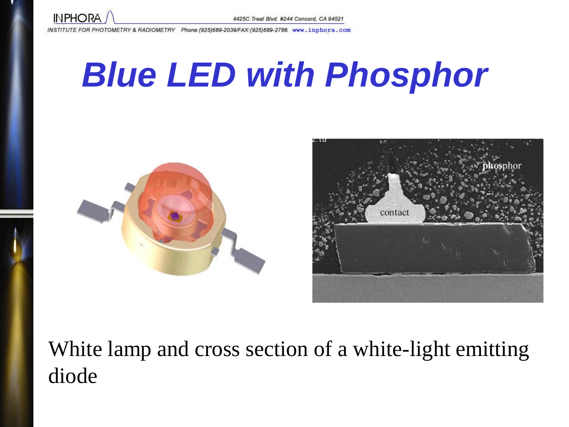![](_page_59_Picture_0.jpeg)

## *Blue LED with Phosphor*

![](_page_59_Picture_4.jpeg)

![](_page_59_Picture_5.jpeg)

#### White lamp and cross section of a white-light emitting diode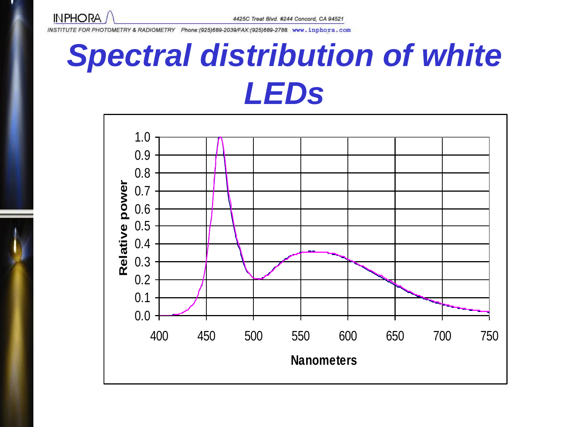![](_page_60_Picture_0.jpeg)

#### *Spectral distribution of white LEDs*

![](_page_60_Figure_4.jpeg)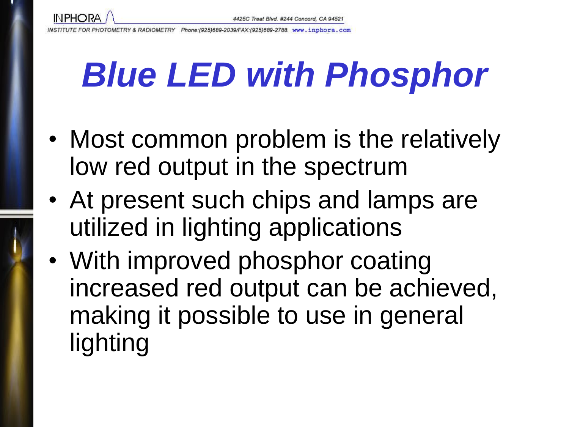**INPHORA** 

# *Blue LED with Phosphor*

- Most common problem is the relatively low red output in the spectrum
- At present such chips and lamps are utilized in lighting applications
- With improved phosphor coating increased red output can be achieved, making it possible to use in general lighting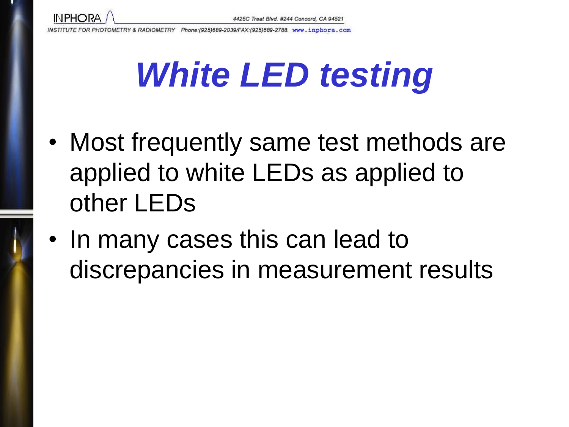- Most frequently same test methods are applied to white LEDs as applied to other LEDs
- In many cases this can lead to discrepancies in measurement results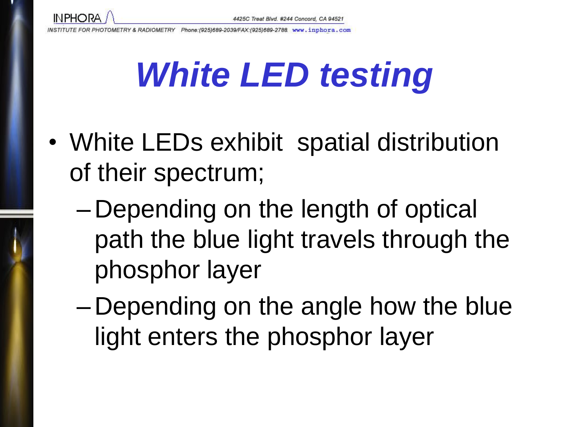**INPHORA** 

- White LEDs exhibit spatial distribution of their spectrum;
	- Depending on the length of optical path the blue light travels through the phosphor layer
	- Depending on the angle how the blue light enters the phosphor layer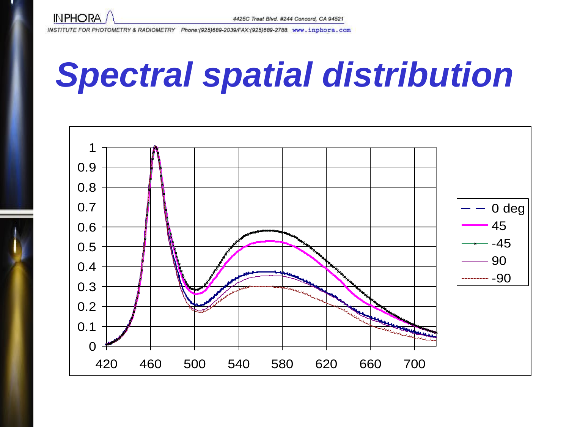![](_page_64_Picture_0.jpeg)

## *Spectral spatial distribution*

![](_page_64_Figure_4.jpeg)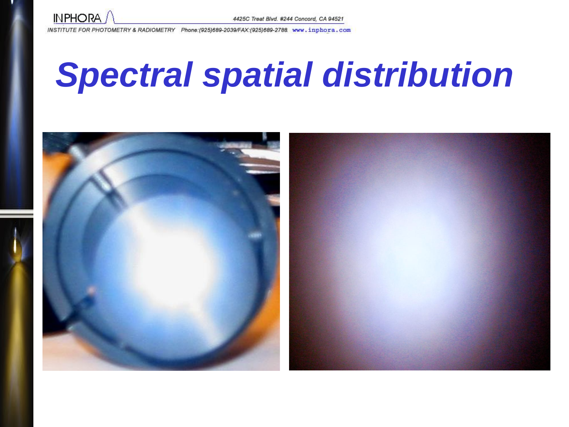![](_page_65_Picture_0.jpeg)

## *Spectral spatial distribution*

![](_page_65_Picture_4.jpeg)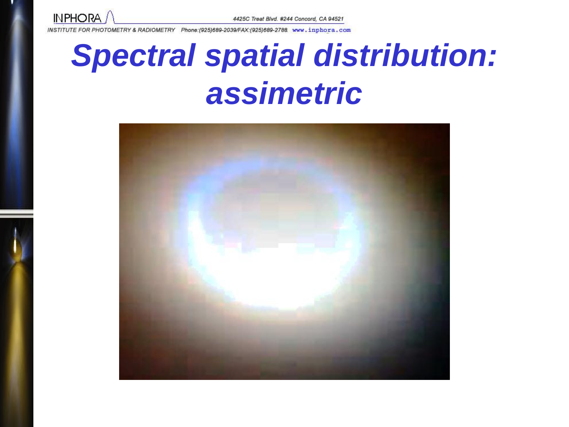![](_page_66_Picture_0.jpeg)

#### *Spectral spatial distribution: assimetric*

![](_page_66_Picture_4.jpeg)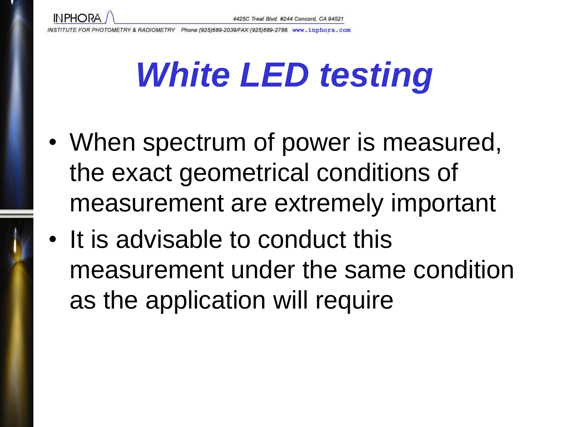**INPHORA** 

- When spectrum of power is measured, the exact geometrical conditions of measurement are extremely important
- It is advisable to conduct this measurement under the same condition as the application will require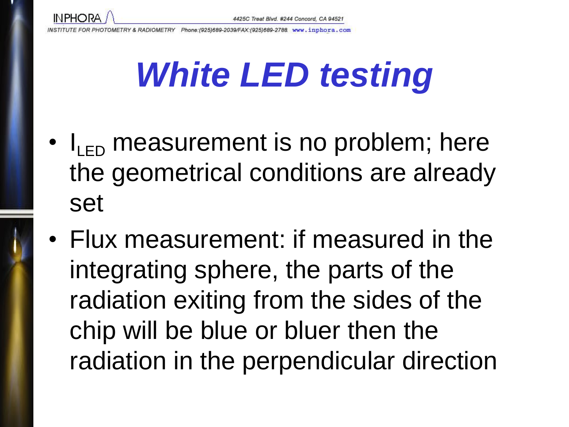- $\cdot$   $I_{\text{L}}$  measurement is no problem; here the geometrical conditions are already set
- Flux measurement: if measured in the integrating sphere, the parts of the radiation exiting from the sides of the chip will be blue or bluer then the radiation in the perpendicular direction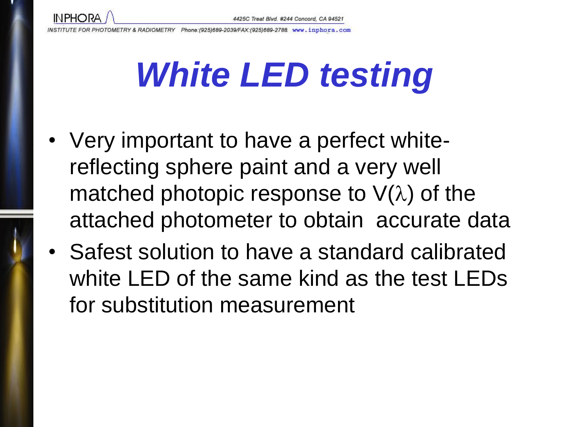**INPHORA** 

- Very important to have a perfect whitereflecting sphere paint and a very well matched photopic response to  $V(\lambda)$  of the attached photometer to obtain accurate data
- Safest solution to have a standard calibrated white LED of the same kind as the test LEDs for substitution measurement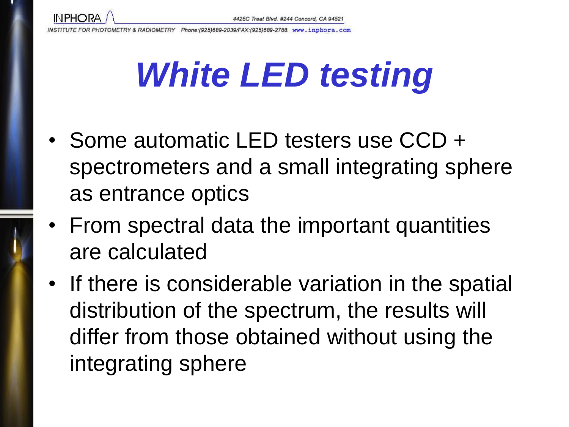**INPHORA** 

- Some automatic LED testers use CCD + spectrometers and a small integrating sphere as entrance optics
- From spectral data the important quantities are calculated
- If there is considerable variation in the spatial distribution of the spectrum, the results will differ from those obtained without using the integrating sphere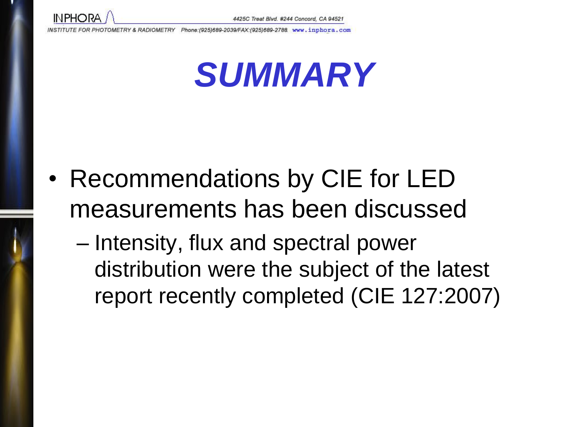![](_page_71_Picture_0.jpeg)

![](_page_71_Picture_3.jpeg)

- Recommendations by CIE for LED measurements has been discussed
	- Intensity, flux and spectral power distribution were the subject of the latest report recently completed (CIE 127:2007)